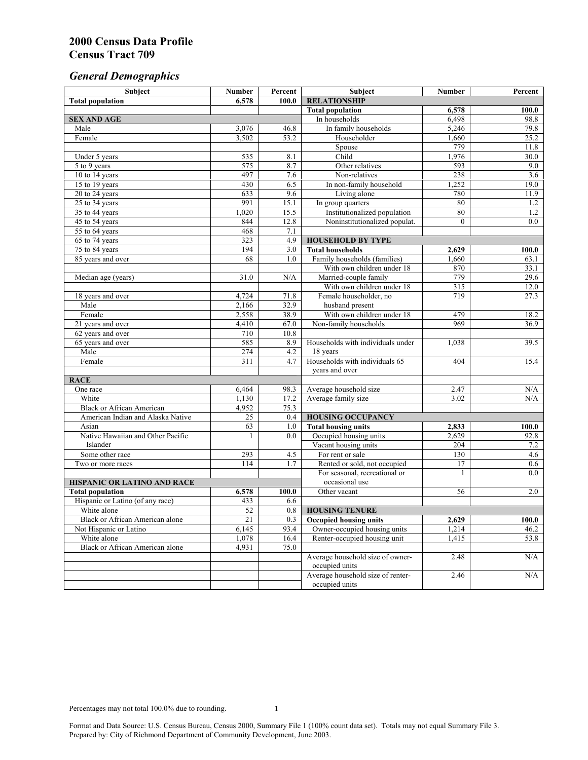# *General Demographics*

| Subject                                | <b>Number</b> | Percent     | Subject                           | Number           | Percent |
|----------------------------------------|---------------|-------------|-----------------------------------|------------------|---------|
| <b>Total population</b>                | 6,578         | 100.0       | <b>RELATIONSHIP</b>               |                  |         |
|                                        |               |             | <b>Total population</b>           | 6,578            | 100.0   |
| <b>SEX AND AGE</b>                     |               |             | In households                     | 6,498            | 98.8    |
| Male                                   | 3,076         | 46.8        | In family households              | 5,246            | 79.8    |
| Female                                 | 3,502         | 53.2        | Householder                       | 1,660            | 25.2    |
|                                        |               |             | Spouse                            | 779              | 11.8    |
| Under 5 years                          | 535           | 8.1         | Child                             | 1,976            | 30.0    |
| 5 to 9 years                           | 575           | 8.7         | Other relatives                   | 593              | 9.0     |
| 10 to 14 years                         | 497           | 7.6         | Non-relatives                     | 238              | 3.6     |
| 15 to 19 years                         | 430           | 6.5         | In non-family household           | 1,252            | 19.0    |
| 20 to 24 years                         | 633           | 9.6         | Living alone                      | 780              | 11.9    |
| 25 to 34 years                         | 991           | 15.1        | In group quarters                 | 80               | 1.2     |
| 35 to 44 years                         | 1,020         | 15.5        | Institutionalized population      | 80               | 1.2     |
| 45 to 54 years                         | 844           | 12.8        | Noninstitutionalized populat.     | $\overline{0}$   | 0.0     |
| 55 to 64 years                         | 468           | 7.1         |                                   |                  |         |
| 65 to 74 years                         | 323           | 4.9         | <b>HOUSEHOLD BY TYPE</b>          |                  |         |
| 75 to 84 years                         | 194           | 3.0         | <b>Total households</b>           | 2,629            | 100.0   |
| 85 years and over                      | 68            | 1.0         | Family households (families)      | 1,660            | 63.1    |
|                                        |               |             | With own children under 18        | 870              | 33.1    |
| Median age (years)                     | 31.0          | N/A         | Married-couple family             | 779              | 29.6    |
|                                        |               |             | With own children under 18        | $\overline{315}$ | 12.0    |
| 18 years and over                      | 4,724         | 71.8        | Female householder, no            | 719              | 27.3    |
| Male                                   | 2,166         | 32.9        | husband present                   |                  |         |
| Female                                 | 2,558         | 38.9        | With own children under 18        | 479              | 18.2    |
| 21 years and over                      | 4,410         | 67.0        | Non-family households             | 969              | 36.9    |
| 62 years and over                      | 710<br>585    | 10.8<br>8.9 | Households with individuals under | 1,038            | 39.5    |
| 65 years and over<br>Male              | 274           | 4.2         | 18 years                          |                  |         |
| Female                                 | 311           | 4.7         | Households with individuals 65    | 404              | 15.4    |
|                                        |               |             | years and over                    |                  |         |
| <b>RACE</b>                            |               |             |                                   |                  |         |
| One race                               | 6,464         | 98.3        | Average household size            | 2.47             | N/A     |
| White                                  | 1,130         | 17.2        | Average family size               | 3.02             | N/A     |
| <b>Black or African American</b>       | 4,952         | 75.3        |                                   |                  |         |
| American Indian and Alaska Native      | 25            | 0.4         | <b>HOUSING OCCUPANCY</b>          |                  |         |
| Asian                                  | 63            | 1.0         | <b>Total housing units</b>        | 2,833            | 100.0   |
| Native Hawaiian and Other Pacific      | 1             | 0.0         | Occupied housing units            | 2,629            | 92.8    |
| Islander                               |               |             | Vacant housing units              | 204              | 7.2     |
| Some other race                        | 293           | 4.5         | For rent or sale                  | 130              | 4.6     |
| Two or more races                      | 114           | 1.7         | Rented or sold, not occupied      | 17               | 0.6     |
|                                        |               |             | For seasonal, recreational or     | 1                | 0.0     |
| HISPANIC OR LATINO AND RACE            |               |             | occasional use                    |                  |         |
| <b>Total population</b>                | 6,578         | 100.0       | Other vacant                      | 56               | 2.0     |
| Hispanic or Latino (of any race)       | 433           | 6.6         |                                   |                  |         |
| White alone                            | 52            | 0.8         | <b>HOUSING TENURE</b>             |                  |         |
| Black or African American alone        | 21            | 0.3         | <b>Occupied housing units</b>     | 2,629            | 100.0   |
| Not Hispanic or Latino                 | 6,145         | 93.4        | Owner-occupied housing units      | 1,214            | 46.2    |
| White alone                            | 1,078         | 16.4        | Renter-occupied housing unit      | 1,415            | 53.8    |
| <b>Black or African American alone</b> | 4,931         | 75.0        |                                   |                  |         |
|                                        |               |             | Average household size of owner-  | 2.48             | N/A     |
|                                        |               |             | occupied units                    |                  |         |
|                                        |               |             | Average household size of renter- | 2.46             | N/A     |
|                                        |               |             | occupied units                    |                  |         |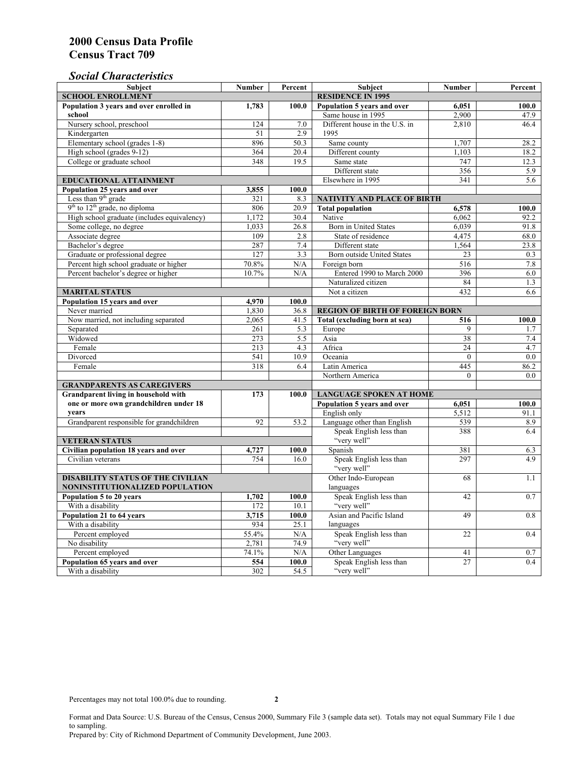### *Social Characteristics*

| <b>Subject</b>                                                                        | Number                   | Percent | <b>Subject</b>                         | <b>Number</b>   | Percent |
|---------------------------------------------------------------------------------------|--------------------------|---------|----------------------------------------|-----------------|---------|
| <b>SCHOOL ENROLLMENT</b>                                                              | <b>RESIDENCE IN 1995</b> |         |                                        |                 |         |
| Population 3 years and over enrolled in                                               | 1,783                    | 100.0   | Population 5 years and over            | 6,051           | 100.0   |
| school                                                                                |                          |         | Same house in 1995                     | 2,900           | 47.9    |
| Nursery school, preschool                                                             | 124                      | 7.0     | Different house in the U.S. in         | 2.810           | 46.4    |
| Kindergarten                                                                          | 51                       | 2.9     | 1995                                   |                 |         |
| Elementary school (grades 1-8)                                                        | 896                      | 50.3    | Same county                            | 1,707           | 28.2    |
| High school (grades 9-12)                                                             | 364                      | 20.4    | Different county                       | 1,103           | 18.2    |
| College or graduate school                                                            | 348                      | 19.5    | Same state                             | 747             | 12.3    |
|                                                                                       |                          |         | Different state                        | 356             | 5.9     |
| <b>EDUCATIONAL ATTAINMENT</b>                                                         |                          |         | Elsewhere in 1995                      | 341             | 5.6     |
| Population 25 years and over                                                          | 3,855                    | 100.0   |                                        |                 |         |
| Less than 9 <sup>th</sup> grade                                                       | 321                      | 8.3     | NATIVITY AND PLACE OF BIRTH            |                 |         |
| $9th$ to $12th$ grade, no diploma                                                     | 806                      | 20.9    | <b>Total population</b>                | 6,578           | 100.0   |
| High school graduate (includes equivalency)                                           | 1.172                    | 30.4    | Native                                 | 6.062           | 92.2    |
| Some college, no degree                                                               | 1,033                    | 26.8    | <b>Born</b> in United States           | 6,039           | 91.8    |
| Associate degree                                                                      | 109                      | 2.8     | State of residence                     | 4,475           | 68.0    |
| Bachelor's degree                                                                     | 287                      | 7.4     | Different state                        | 1,564           | 23.8    |
| Graduate or professional degree                                                       | 127                      | 3.3     | Born outside United States             | 23              | 0.3     |
| Percent high school graduate or higher                                                | 70.8%                    | N/A     | Foreign born                           | 516             | 7.8     |
| Percent bachelor's degree or higher                                                   | 10.7%                    | N/A     | Entered 1990 to March 2000             | 396             | 6.0     |
|                                                                                       |                          |         | Naturalized citizen                    | 84              | 1.3     |
| <b>MARITAL STATUS</b>                                                                 |                          |         | Not a citizen                          | 432             | 6.6     |
| Population 15 years and over                                                          | 4,970                    | 100.0   |                                        |                 |         |
| Never married                                                                         | 1,830                    | 36.8    | <b>REGION OF BIRTH OF FOREIGN BORN</b> |                 |         |
| Now married, not including separated                                                  | 2,065                    | 41.5    | Total (excluding born at sea)          | 516             | 100.0   |
| Separated                                                                             | 261                      | 5.3     | Europe                                 | 9               | 1.7     |
| Widowed                                                                               | 273                      | 5.5     | Asia                                   | 38              | 7.4     |
| Female                                                                                | 213                      | 4.3     | Africa                                 | 24              | 4.7     |
| Divorced                                                                              | 541<br>318               | 10.9    | Oceania                                | $\theta$        | 0.0     |
| Female                                                                                |                          | 6.4     | Latin America                          | 445<br>$\theta$ | 86.2    |
|                                                                                       |                          |         | Northern America                       |                 | 0.0     |
| <b>GRANDPARENTS AS CAREGIVERS</b>                                                     |                          | 100.0   | <b>LANGUAGE SPOKEN AT HOME</b>         |                 |         |
| Grandparent living in household with<br>173<br>one or more own grandchildren under 18 |                          |         | Population 5 years and over<br>6,051   |                 | 100.0   |
| years                                                                                 |                          |         | English only                           | 5,512           | 91.1    |
| Grandparent responsible for grandchildren                                             | 92                       | 53.2    | Language other than English            | 539             | 8.9     |
|                                                                                       |                          |         | Speak English less than                | 388             | 6.4     |
| <b>VETERAN STATUS</b>                                                                 |                          |         | "very well"                            |                 |         |
| Civilian population 18 years and over                                                 | 4,727                    | 100.0   | Spanish                                | 381             | 6.3     |
| Civilian veterans                                                                     | 754                      | 16.0    | Speak English less than                | 297             | 4.9     |
|                                                                                       |                          |         | "very well"                            |                 |         |
| <b>DISABILITY STATUS OF THE CIVILIAN</b>                                              | Other Indo-European      | 68      | 1.1                                    |                 |         |
| NONINSTITUTIONALIZED POPULATION                                                       | languages                |         |                                        |                 |         |
| Population 5 to 20 years                                                              | 1,702                    | 100.0   | Speak English less than                | 42              | 0.7     |
| With a disability                                                                     | 172                      | 10.1    | "very well"                            |                 |         |
| Population 21 to 64 years                                                             | 3.715                    | 100.0   | Asian and Pacific Island               | 49              | 0.8     |
| With a disability                                                                     | 934                      | 25.1    | languages                              |                 |         |
| Percent employed                                                                      | 55.4%                    | N/A     | Speak English less than                | 22              | 0.4     |
| No disability                                                                         | 2,781                    | 74.9    | "very well"                            |                 |         |
| Percent employed                                                                      | 74.1%                    | N/A     | Other Languages                        | 41              | 0.7     |
| Population 65 years and over                                                          | 554                      | 100.0   | Speak English less than                | 27              | 0.4     |
| With a disability                                                                     | 302                      | 54.5    | "very well"                            |                 |         |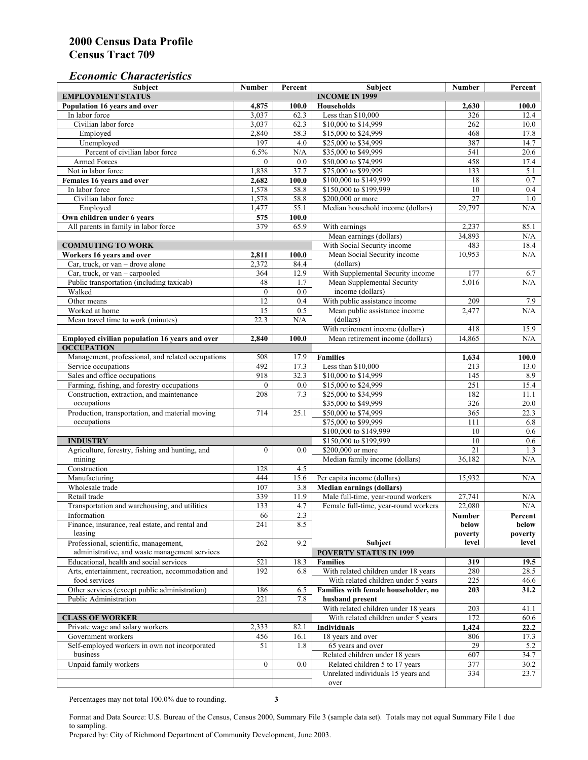#### *Economic Characteristics*

| <b>Subject</b>                                     | Number           | Percent | Subject                                    | Number          | Percent    |
|----------------------------------------------------|------------------|---------|--------------------------------------------|-----------------|------------|
| <b>EMPLOYMENT STATUS</b>                           |                  |         | <b>INCOME IN 1999</b>                      |                 |            |
| Population 16 years and over                       | 4,875            | 100.0   | Households                                 | 2,630           | 100.0      |
| In labor force                                     | 3,037            | 62.3    | Less than \$10,000                         | 326             | 12.4       |
| Civilian labor force                               | 3,037            | 62.3    | \$10,000 to \$14,999                       | 262             | 10.0       |
| Employed                                           | 2,840            | 58.3    | \$15,000 to \$24,999                       | 468             | 17.8       |
| Unemployed                                         | 197              | 4.0     | \$25,000 to \$34,999                       | 387             | 14.7       |
| Percent of civilian labor force                    | 6.5%             | N/A     | \$35,000 to \$49,999                       | 541             | 20.6       |
| Armed Forces                                       | $\mathbf{0}$     | 0.0     | \$50,000 to \$74,999                       | 458             | 17.4       |
| Not in labor force                                 | 1,838            | 37.7    | \$75,000 to \$99,999                       | 133             | 5.1        |
| Females 16 years and over                          | 2,682            | 100.0   | \$100,000 to \$149,999                     | 18              | 0.7        |
| In labor force                                     | 1,578            | 58.8    | \$150,000 to \$199,999                     | 10              | 0.4        |
| Civilian labor force                               | 1,578            | 58.8    | \$200,000 or more                          | $\overline{27}$ | 1.0        |
| Employed                                           | 1,477            | 55.1    | Median household income (dollars)          | 29.797          | N/A        |
| Own children under 6 years                         | 575              | 100.0   |                                            |                 |            |
| All parents in family in labor force               | 379              | 65.9    | With earnings                              | 2,237           | 85.1       |
|                                                    |                  |         | Mean earnings (dollars)                    | 34,893          | N/A        |
| <b>COMMUTING TO WORK</b>                           |                  |         | With Social Security income                | 483             | 18.4       |
| Workers 16 years and over                          | 2,811            | 100.0   | Mean Social Security income                | 10,953          | N/A        |
| Car, truck, or van – drove alone                   | 2,372            | 84.4    | (dollars)                                  |                 |            |
| Car, truck, or van - carpooled                     | 364              | 12.9    | With Supplemental Security income          | 177             | 6.7        |
| Public transportation (including taxicab)          | 48               | 1.7     | Mean Supplemental Security                 | 5,016           | N/A        |
| Walked                                             | $\boldsymbol{0}$ | 0.0     | income (dollars)                           |                 |            |
| Other means                                        | $\overline{12}$  | 0.4     | With public assistance income              | 209             |            |
| Worked at home                                     | $\overline{15}$  | 0.5     |                                            | 2,477           | 7.9<br>N/A |
|                                                    |                  |         | Mean public assistance income<br>(dollars) |                 |            |
| Mean travel time to work (minutes)                 | 22.3             | N/A     |                                            |                 |            |
|                                                    |                  |         | With retirement income (dollars)           | 418             | 15.9       |
| Employed civilian population 16 years and over     | 2,840            | 100.0   | Mean retirement income (dollars)           | 14,865          | N/A        |
| <b>OCCUPATION</b>                                  |                  |         |                                            |                 |            |
| Management, professional, and related occupations  | 508              | 17.9    | <b>Families</b>                            | 1,634           | 100.0      |
| Service occupations                                | 492              | 17.3    | Less than \$10,000                         | 213             | 13.0       |
| Sales and office occupations                       | 918              | 32.3    | \$10,000 to \$14,999                       | 145             | 8.9        |
| Farming, fishing, and forestry occupations         | $\mathbf{0}$     | 0.0     | \$15,000 to \$24,999                       | 251             | 15.4       |
| Construction, extraction, and maintenance          | 208              | 7.3     | \$25,000 to \$34,999                       | 182             | 11.1       |
| occupations                                        |                  |         | \$35,000 to \$49,999                       | 326             | 20.0       |
| Production, transportation, and material moving    | 714              | 25.1    | \$50,000 to \$74,999                       | 365             | 22.3       |
| occupations                                        |                  |         | \$75,000 to \$99,999                       | 111             | 6.8        |
|                                                    |                  |         | \$100,000 to \$149,999                     | 10              | 0.6        |
| <b>INDUSTRY</b>                                    |                  |         | \$150,000 to \$199,999                     | 10              | 0.6        |
| Agriculture, forestry, fishing and hunting, and    | $\boldsymbol{0}$ | 0.0     | \$200,000 or more                          | 21              | 1.3        |
| mining                                             |                  |         | Median family income (dollars)             | 36,182          | N/A        |
| Construction                                       | 128              | 4.5     |                                            |                 |            |
| Manufacturing                                      | 444              | 15.6    | Per capita income (dollars)                | 15,932          | N/A        |
| Wholesale trade                                    | 107              | 3.8     | <b>Median earnings (dollars)</b>           |                 |            |
| Retail trade                                       | 339              | 11.9    | Male full-time, year-round workers         | 27,741          | N/A        |
| Transportation and warehousing, and utilities      | 133              | 4.7     | Female full-time, year-round workers       | 22,080          | N/A        |
| Information                                        | 66               | 2.3     |                                            | Number          | Percent    |
| Finance, insurance, real estate, and rental and    | 241              | 8.5     |                                            | below           | below      |
| leasing                                            |                  |         |                                            | poverty         | poverty    |
| Professional, scientific, management,              | 262              | 9.2     | Subject                                    | level           | level      |
| administrative, and waste management services      |                  |         | <b>POVERTY STATUS IN 1999</b>              |                 |            |
| Educational, health and social services            | 521              | 18.3    | <b>Families</b>                            | 319             | 19.5       |
| Arts, entertainment, recreation, accommodation and | 192              | 6.8     | With related children under 18 years       | 280             | 28.5       |
| food services                                      |                  |         | With related children under 5 years        | 225             | 46.6       |
| Other services (except public administration)      | 186              | 6.5     | Families with female householder, no       | 203             | 31.2       |
| Public Administration                              | 221              | 7.8     | husband present                            |                 |            |
|                                                    |                  |         | With related children under 18 years       | 203             | 41.1       |
| <b>CLASS OF WORKER</b>                             |                  |         | With related children under 5 years        | 172             | 60.6       |
| Private wage and salary workers                    | 2,333            | 82.1    | Individuals                                | 1,424           | 22.2       |
| Government workers                                 | 456              | 16.1    | 18 years and over                          | 806             | 17.3       |
| Self-employed workers in own not incorporated      | 51               | 1.8     | 65 years and over                          | 29              | 5.2        |
| business                                           |                  |         | Related children under 18 years            | 607             | 34.7       |
| Unpaid family workers                              | $\mathbf{0}$     | 0.0     | Related children 5 to 17 years             | 377             | 30.2       |
|                                                    |                  |         | Unrelated individuals 15 years and         | 334             | 23.7       |
|                                                    |                  |         | over                                       |                 |            |
|                                                    |                  |         |                                            |                 |            |

Percentages may not total 100.0% due to rounding. **3** 

Format and Data Source: U.S. Bureau of the Census, Census 2000, Summary File 3 (sample data set). Totals may not equal Summary File 1 due to sampling.

Prepared by: City of Richmond Department of Community Development, June 2003.